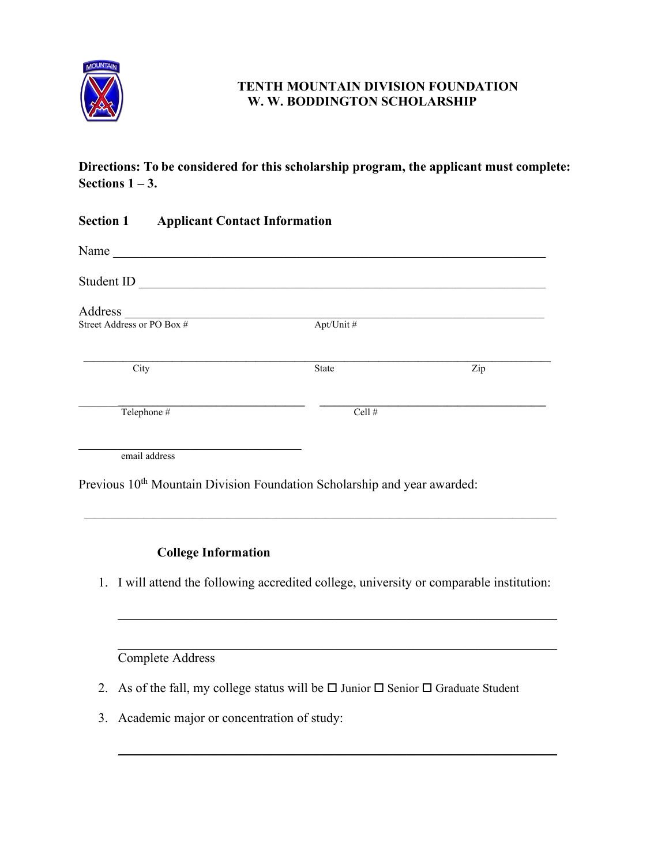

## **TENTH MOUNTAIN DIVISION FOUNDATION W. W. BODDINGTON SCHOLARSHIP**

**Directions: To be considered for this scholarship program, the applicant must complete: Sections 1 – 3.** 

| <b>Section 1</b>           | <b>Applicant Contact Information</b> |                                                                                                                      |     |
|----------------------------|--------------------------------------|----------------------------------------------------------------------------------------------------------------------|-----|
| Name                       |                                      |                                                                                                                      |     |
| Student ID                 |                                      | <u> 2000 - 2000 - 2000 - 2000 - 2000 - 2000 - 2000 - 2000 - 2000 - 2000 - 2000 - 2000 - 2000 - 2000 - 2000 - 200</u> |     |
| Address                    |                                      |                                                                                                                      |     |
| Street Address or PO Box # |                                      | Apt/Unit#                                                                                                            |     |
| City                       |                                      | State                                                                                                                | Zip |
| Telephone #                |                                      | Cell #                                                                                                               |     |
| email address              |                                      |                                                                                                                      |     |
|                            |                                      | Previous 10 <sup>th</sup> Mountain Division Foundation Scholarship and year awarded:                                 |     |

# **College Information**

1. I will attend the following accredited college, university or comparable institution:

 $\mathcal{L}_\mathcal{L} = \mathcal{L}_\mathcal{L} = \mathcal{L}_\mathcal{L} = \mathcal{L}_\mathcal{L} = \mathcal{L}_\mathcal{L} = \mathcal{L}_\mathcal{L} = \mathcal{L}_\mathcal{L} = \mathcal{L}_\mathcal{L} = \mathcal{L}_\mathcal{L} = \mathcal{L}_\mathcal{L} = \mathcal{L}_\mathcal{L} = \mathcal{L}_\mathcal{L} = \mathcal{L}_\mathcal{L} = \mathcal{L}_\mathcal{L} = \mathcal{L}_\mathcal{L} = \mathcal{L}_\mathcal{L} = \mathcal{L}_\mathcal{L}$ 

\_\_\_\_\_\_\_\_\_\_\_\_\_\_\_\_\_\_\_\_\_\_\_\_\_\_\_\_\_\_\_\_\_\_\_\_\_\_\_\_\_\_\_\_\_\_\_\_\_\_\_\_\_\_\_\_\_\_\_\_\_\_\_\_\_\_\_

 $\mathcal{L}_\mathcal{L} = \{ \mathcal{L}_\mathcal{L} = \{ \mathcal{L}_\mathcal{L} = \{ \mathcal{L}_\mathcal{L} = \{ \mathcal{L}_\mathcal{L} = \{ \mathcal{L}_\mathcal{L} = \{ \mathcal{L}_\mathcal{L} = \{ \mathcal{L}_\mathcal{L} = \{ \mathcal{L}_\mathcal{L} = \{ \mathcal{L}_\mathcal{L} = \{ \mathcal{L}_\mathcal{L} = \{ \mathcal{L}_\mathcal{L} = \{ \mathcal{L}_\mathcal{L} = \{ \mathcal{L}_\mathcal{L} = \{ \mathcal{L}_\mathcal{$ 

 $\mathcal{L}_\text{G}$  , and the contribution of the contribution of the contribution of the contribution of the contribution of the contribution of the contribution of the contribution of the contribution of the contribution of t Complete Address

- 2. As of the fall, my college status will be  $\Box$  Junior  $\Box$  Senior  $\Box$  Graduate Student
- 3. Academic major or concentration of study: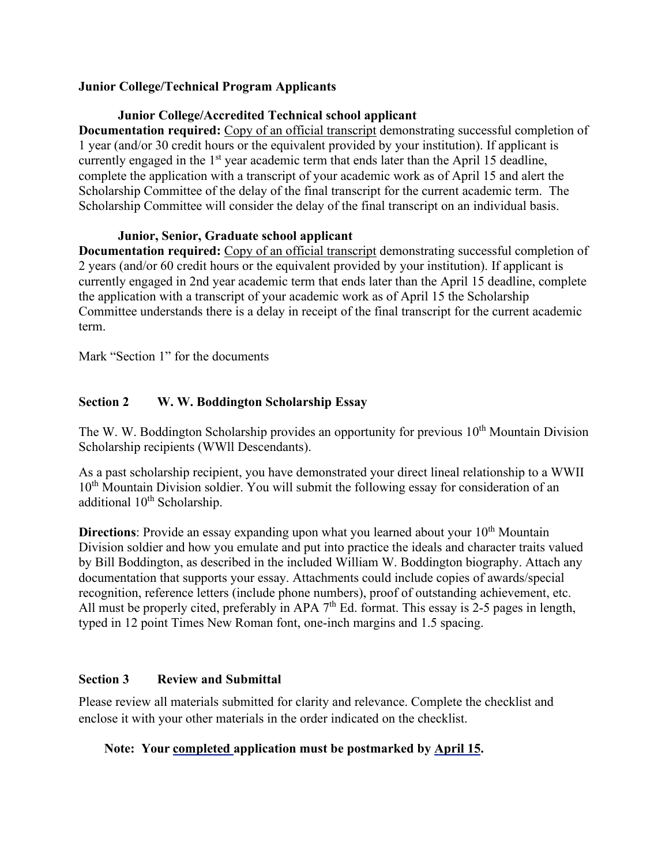#### **Junior College/Technical Program Applicants**

#### **Junior College/Accredited Technical school applicant**

**Documentation required:** Copy of an official transcript demonstrating successful completion of 1 year (and/or 30 credit hours or the equivalent provided by your institution). If applicant is currently engaged in the 1<sup>st</sup> year academic term that ends later than the April 15 deadline, complete the application with a transcript of your academic work as of April 15 and alert the Scholarship Committee of the delay of the final transcript for the current academic term. The Scholarship Committee will consider the delay of the final transcript on an individual basis.

#### **Junior, Senior, Graduate school applicant**

**Documentation required:** Copy of an official transcript demonstrating successful completion of 2 years (and/or 60 credit hours or the equivalent provided by your institution). If applicant is currently engaged in 2nd year academic term that ends later than the April 15 deadline, complete the application with a transcript of your academic work as of April 15 the Scholarship Committee understands there is a delay in receipt of the final transcript for the current academic term.

Mark "Section 1" for the documents

## **Section 2 W. W. Boddington Scholarship Essay**

The W. W. Boddington Scholarship provides an opportunity for previous  $10<sup>th</sup>$  Mountain Division Scholarship recipients (WWll Descendants).

As a past scholarship recipient, you have demonstrated your direct lineal relationship to a WWII 10<sup>th</sup> Mountain Division soldier. You will submit the following essay for consideration of an additional  $10^{th}$  Scholarship.

**Directions**: Provide an essay expanding upon what you learned about your 10<sup>th</sup> Mountain Division soldier and how you emulate and put into practice the ideals and character traits valued by Bill Boddington, as described in the included William W. Boddington biography. Attach any documentation that supports your essay. Attachments could include copies of awards/special recognition, reference letters (include phone numbers), proof of outstanding achievement, etc. All must be properly cited, preferably in APA 7<sup>th</sup> Ed. format. This essay is 2-5 pages in length, typed in 12 point Times New Roman font, one-inch margins and 1.5 spacing.

### **Section 3 Review and Submittal**

Please review all materials submitted for clarity and relevance. Complete the checklist and enclose it with your other materials in the order indicated on the checklist.

# **Note: Your completed application must be postmarked by April 15.**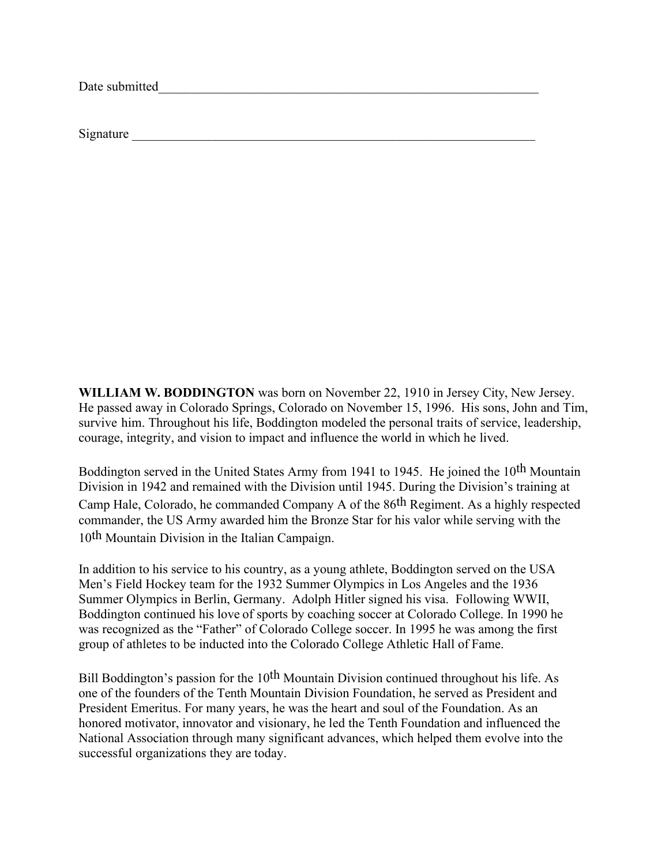Date submitted

Signature

**WILLIAM W. BODDINGTON** was born on November 22, 1910 in Jersey City, New Jersey. He passed away in Colorado Springs, Colorado on November 15, 1996. His sons, John and Tim, survive him. Throughout his life, Boddington modeled the personal traits of service, leadership, courage, integrity, and vision to impact and influence the world in which he lived.

Boddington served in the United States Army from 1941 to 1945. He joined the 10<sup>th</sup> Mountain Division in 1942 and remained with the Division until 1945. During the Division's training at Camp Hale, Colorado, he commanded Company A of the 86th Regiment. As a highly respected commander, the US Army awarded him the Bronze Star for his valor while serving with the 10th Mountain Division in the Italian Campaign.

In addition to his service to his country, as a young athlete, Boddington served on the USA Men's Field Hockey team for the 1932 Summer Olympics in Los Angeles and the 1936 Summer Olympics in Berlin, Germany. Adolph Hitler signed his visa. Following WWII, Boddington continued his love of sports by coaching soccer at Colorado College. In 1990 he was recognized as the "Father" of Colorado College soccer. In 1995 he was among the first group of athletes to be inducted into the Colorado College Athletic Hall of Fame.

Bill Boddington's passion for the 10<sup>th</sup> Mountain Division continued throughout his life. As one of the founders of the Tenth Mountain Division Foundation, he served as President and President Emeritus. For many years, he was the heart and soul of the Foundation. As an honored motivator, innovator and visionary, he led the Tenth Foundation and influenced the National Association through many significant advances, which helped them evolve into the successful organizations they are today.